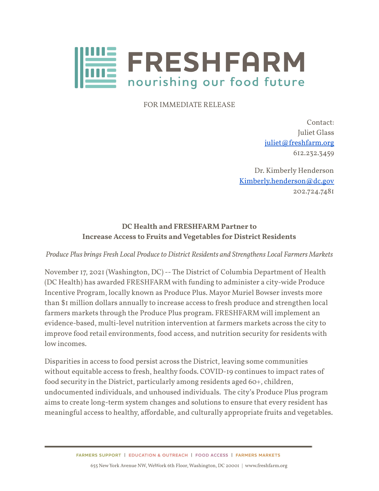

FOR IMMEDIATE RELEASE

Contact: Juliet Glass [juliet@freshfarm.org](mailto:juliet@freshfarm.org) 612.232.3459

Dr. Kimberly Henderson [Kimberly.henderson@dc.gov](mailto:Kimberly.henderson@dc.gov) 202.724.7481

## **DC Health and FRESHFARM Partner to Increase Access to Fruits andVegetables for District Residents**

*Produce Plus brings Fresh Local Produceto District Residents and Strengthens Local Farmers Markets*

November 17, 2021 (Washington, DC) -- The District of Columbia Department of Health (DC Health) has awarded FRESHFARM with funding to administer a city-wide Produce Incentive Program, locally known as Produce Plus. Mayor Muriel Bowser invests more than \$1 million dollars annually to increase access to fresh produce and strengthen local farmers markets through the Produce Plus program. FRESHFARM will implement an evidence-based, multi-level nutrition intervention at farmers markets across the city to improve food retail environments, food access, and nutrition security for residents with low incomes.

Disparities in access to food persist across the District, leaving some communities without equitable access to fresh, healthy foods. COVID-19 continues to impact rates of food security in the District, particularly among residents aged 60+, children, undocumented individuals, and unhoused individuals. The city's Produce Plus program aims to create long-term system changes and solutions to ensure that every resident has meaningful access to healthy, affordable, and culturally appropriate fruits and vegetables.

> FARMERS SUPPORT | EDUCATION & OUTREACH | FOOD ACCESS | FARMERS MARKETS 655 NewYork Avenue NW, WeWork 6th Floor, Washington, DC 20001 | www.freshfarm.org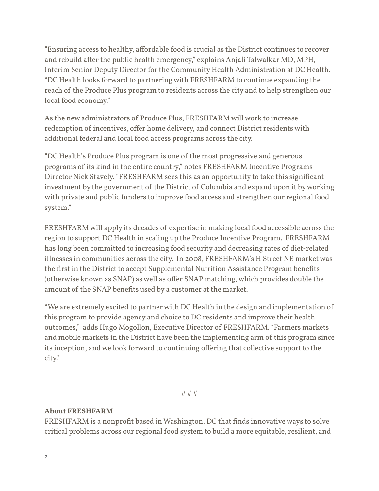"Ensuring access to healthy, affordable food is crucial as the District continues to recover and rebuild after the public health emergency," explains Anjali Talwalkar MD, MPH, Interim Senior Deputy Director for the Community Health Administration at DC Health. "DC Health looks forward to partnering with FRESHFARM to continue expanding the reach of the Produce Plus program to residents across the city and to help strengthen our local food economy."

As the new administrators of Produce Plus, FRESHFARM will work to increase redemption of incentives, offer home delivery, and connect District residents with additional federal and local food access programs across the city.

"DC Health's Produce Plus program is one of the most progressive and generous programs of its kind in the entire country," notes FRESHFARM Incentive Programs Director Nick Stavely. "FRESHFARM sees this as an opportunity to take this significant investment by the government of the District of Columbia and expand upon it byworking with private and public funders to improve food access and strengthen our regional food system."

FRESHFARM will apply its decades of expertise in making local food accessible across the region to support DC Health in scaling up the Produce Incentive Program. FRESHFARM has long been committed to increasing food security and decreasing rates of diet-related illnesses in communities across the city. In 2008, FRESHFARM's H Street NE market was the first in the District to accept Supplemental Nutrition Assistance Program benefits (otherwise known as SNAP) as well as offer SNAP matching, which provides double the amount of the SNAP benefits used by a customer at the market.

"We are extremely excited to partner with DC Health in the design and implementation of this program to provide agency and choice to DC residents and improve their health outcomes," adds Hugo Mogollon, Executive Director of FRESHFARM. "Farmers markets and mobile markets in the District have been the implementing arm of this program since its inception, and we look forward to continuing offering that collective support to the city."

# # #

## **About FRESHFARM**

FRESHFARM is a nonprofit based in Washington, DC that finds innovative ways to solve critical problems across our regional food system to build a more equitable, resilient, and